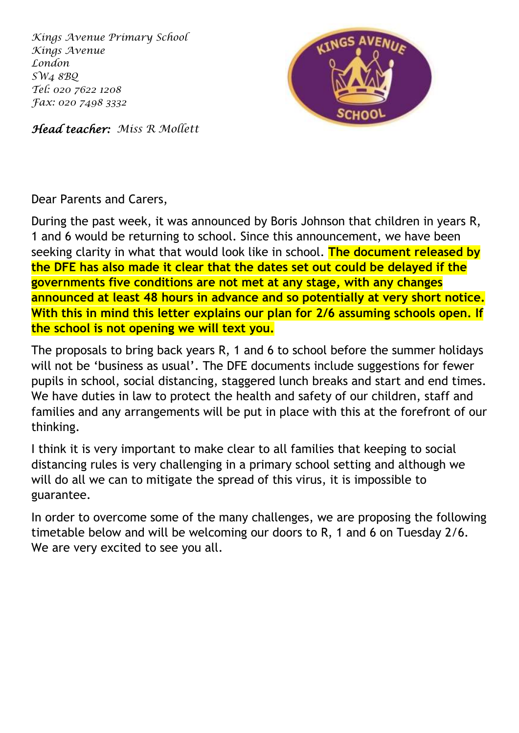*Kings Avenue Primary School Kings Avenue London SW4 8BQ Tel: 020 7622 1208 Fax: 020 7498 3332*



*Head teacher: Miss R Mollett*

Dear Parents and Carers,

During the past week, it was announced by Boris Johnson that children in years R, 1 and 6 would be returning to school. Since this announcement, we have been seeking clarity in what that would look like in school. **The document released by the DFE has also made it clear that the dates set out could be delayed if the governments five conditions are not met at any stage, with any changes announced at least 48 hours in advance and so potentially at very short notice. With this in mind this letter explains our plan for 2/6 assuming schools open. If the school is not opening we will text you.**

The proposals to bring back years R, 1 and 6 to school before the summer holidays will not be 'business as usual'. The DFE documents include suggestions for fewer pupils in school, social distancing, staggered lunch breaks and start and end times. We have duties in law to protect the health and safety of our children, staff and families and any arrangements will be put in place with this at the forefront of our thinking.

I think it is very important to make clear to all families that keeping to social distancing rules is very challenging in a primary school setting and although we will do all we can to mitigate the spread of this virus, it is impossible to guarantee.

In order to overcome some of the many challenges, we are proposing the following timetable below and will be welcoming our doors to R, 1 and 6 on Tuesday 2/6. We are very excited to see you all.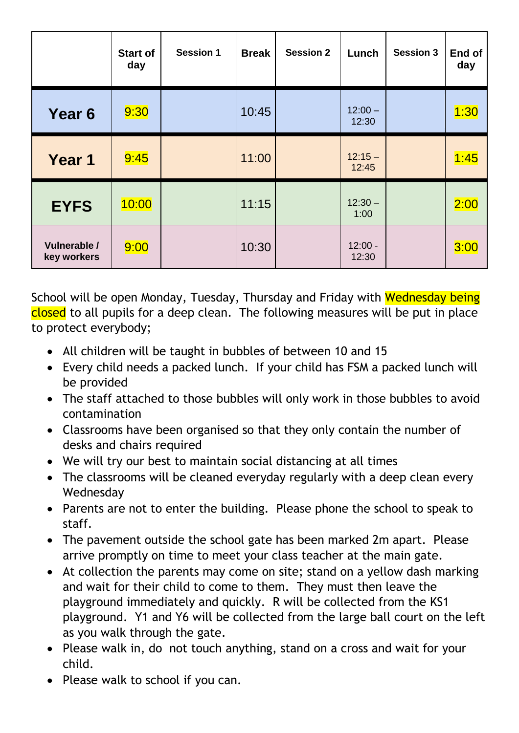|                             | <b>Start of</b><br>day | <b>Session 1</b> | <b>Break</b> | <b>Session 2</b> | Lunch              | <b>Session 3</b> | End of<br>day |
|-----------------------------|------------------------|------------------|--------------|------------------|--------------------|------------------|---------------|
| Year <sub>6</sub>           | 9:30                   |                  | 10:45        |                  | $12:00 -$<br>12:30 |                  | 1:30          |
| Year 1                      | 9:45                   |                  | 11:00        |                  | $12:15 -$<br>12:45 |                  | 1:45          |
| <b>EYFS</b>                 | 10:00                  |                  | 11:15        |                  | $12:30 -$<br>1:00  |                  | 2:00          |
| Vulnerable /<br>key workers | 9:00                   |                  | 10:30        |                  | $12:00 -$<br>12:30 |                  | 3:00          |

School will be open Monday, Tuesday, Thursday and Friday with Wednesday being closed to all pupils for a deep clean. The following measures will be put in place to protect everybody;

- All children will be taught in bubbles of between 10 and 15
- Every child needs a packed lunch. If your child has FSM a packed lunch will be provided
- The staff attached to those bubbles will only work in those bubbles to avoid contamination
- Classrooms have been organised so that they only contain the number of desks and chairs required
- We will try our best to maintain social distancing at all times
- The classrooms will be cleaned everyday regularly with a deep clean every Wednesday
- Parents are not to enter the building. Please phone the school to speak to staff.
- The pavement outside the school gate has been marked 2m apart. Please arrive promptly on time to meet your class teacher at the main gate.
- At collection the parents may come on site; stand on a yellow dash marking and wait for their child to come to them. They must then leave the playground immediately and quickly. R will be collected from the KS1 playground. Y1 and Y6 will be collected from the large ball court on the left as you walk through the gate.
- Please walk in, do not touch anything, stand on a cross and wait for your child.
- Please walk to school if you can.